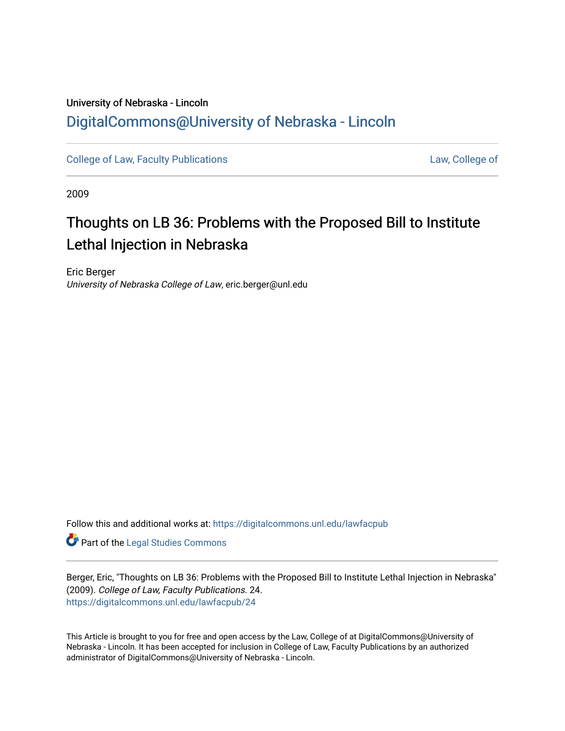## University of Nebraska - Lincoln [DigitalCommons@University of Nebraska - Lincoln](https://digitalcommons.unl.edu/)

[College of Law, Faculty Publications](https://digitalcommons.unl.edu/lawfacpub) [Law, College of](https://digitalcommons.unl.edu/law) Law, College of

2009

# Thoughts on LB 36: Problems with the Proposed Bill to Institute Lethal Injection in Nebraska

Eric Berger University of Nebraska College of Law, eric.berger@unl.edu

Follow this and additional works at: [https://digitalcommons.unl.edu/lawfacpub](https://digitalcommons.unl.edu/lawfacpub?utm_source=digitalcommons.unl.edu%2Flawfacpub%2F24&utm_medium=PDF&utm_campaign=PDFCoverPages) 

Part of the [Legal Studies Commons](http://network.bepress.com/hgg/discipline/366?utm_source=digitalcommons.unl.edu%2Flawfacpub%2F24&utm_medium=PDF&utm_campaign=PDFCoverPages) 

Berger, Eric, "Thoughts on LB 36: Problems with the Proposed Bill to Institute Lethal Injection in Nebraska" (2009). College of Law, Faculty Publications. 24. [https://digitalcommons.unl.edu/lawfacpub/24](https://digitalcommons.unl.edu/lawfacpub/24?utm_source=digitalcommons.unl.edu%2Flawfacpub%2F24&utm_medium=PDF&utm_campaign=PDFCoverPages)

This Article is brought to you for free and open access by the Law, College of at DigitalCommons@University of Nebraska - Lincoln. It has been accepted for inclusion in College of Law, Faculty Publications by an authorized administrator of DigitalCommons@University of Nebraska - Lincoln.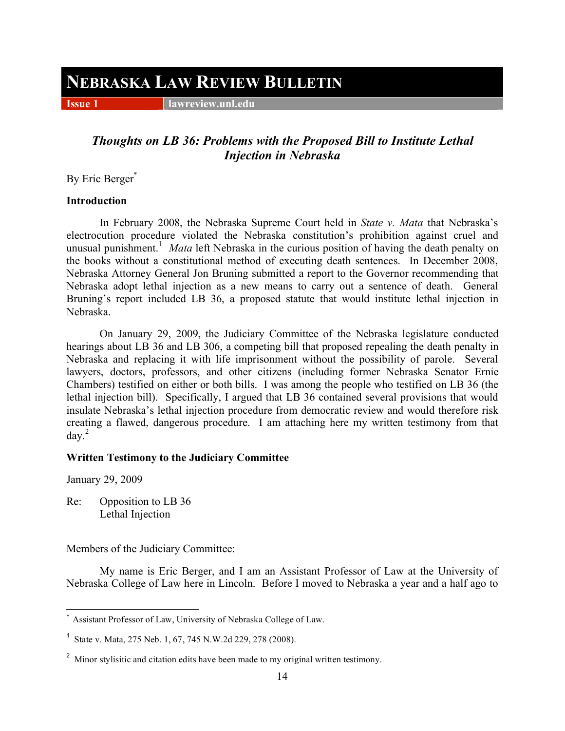## **NEBRASKA LAW REVIEW BULLETIN**

**Issue 1 lawreview.unl.edu** 

### *Thoughts on LB 36: Problems with the Proposed Bill to Institute Lethal Injection in Nebraska*

By Eric Berger\*

#### **Introduction**

In February 2008, the Nebraska Supreme Court held in *State v. Mata* that Nebraska's electrocution procedure violated the Nebraska constitution's prohibition against cruel and unusual punishment.<sup>1</sup> Mata left Nebraska in the curious position of having the death penalty on the books without a constitutional method of executing death sentences. In December 2008, Nebraska Attorney General Jon Bruning submitted a report to the Governor recommending that Nebraska adopt lethal injection as a new means to carry out a sentence of death. General Bruning's report included LB 36, a proposed statute that would institute lethal injection in Nebraska.

On January 29, 2009, the Judiciary Committee of the Nebraska legislature conducted hearings about LB 36 and LB 306, a competing bill that proposed repealing the death penalty in Nebraska and replacing it with life imprisonment without the possibility of parole. Several lawyers, doctors, professors, and other citizens (including former Nebraska Senator Ernie Chambers) testified on either or both bills. I was among the people who testified on LB 36 (the lethal injection bill). Specifically, I argued that LB 36 contained several provisions that would insulate Nebraska's lethal injection procedure from democratic review and would therefore risk creating a flawed, dangerous procedure. I am attaching here my written testimony from that  $day.<sup>2</sup>$ 

#### **Written Testimony to the Judiciary Committee**

January 29, 2009

Re: Opposition to LB 36 Lethal Injection

Members of the Judiciary Committee:

My name is Eric Berger, and I am an Assistant Professor of Law at the University of Nebraska College of Law here in Lincoln. Before I moved to Nebraska a year and a half ago to

Assistant Professor of Law, University of Nebraska College of Law.

<sup>1</sup> State v. Mata, 275 Neb. 1, 67, 745 N.W.2d 229, 278 (2008).

<sup>&</sup>lt;sup>2</sup> Minor stylisitic and citation edits have been made to my original written testimony.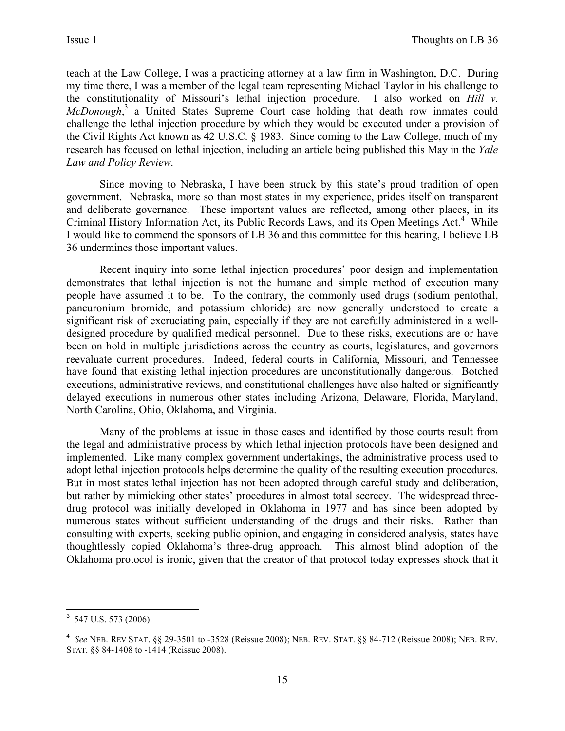teach at the Law College, I was a practicing attorney at a law firm in Washington, D.C. During my time there, I was a member of the legal team representing Michael Taylor in his challenge to the constitutionality of Missouri's lethal injection procedure. I also worked on *Hill v. McDonough*,<sup>3</sup> a United States Supreme Court case holding that death row inmates could challenge the lethal injection procedure by which they would be executed under a provision of the Civil Rights Act known as 42 U.S.C. § 1983. Since coming to the Law College, much of my research has focused on lethal injection, including an article being published this May in the *Yale Law and Policy Review*.

Since moving to Nebraska, I have been struck by this state's proud tradition of open government. Nebraska, more so than most states in my experience, prides itself on transparent and deliberate governance. These important values are reflected, among other places, in its Criminal History Information Act, its Public Records Laws, and its Open Meetings Act.<sup>4</sup> While I would like to commend the sponsors of LB 36 and this committee for this hearing, I believe LB 36 undermines those important values.

Recent inquiry into some lethal injection procedures' poor design and implementation demonstrates that lethal injection is not the humane and simple method of execution many people have assumed it to be. To the contrary, the commonly used drugs (sodium pentothal, pancuronium bromide, and potassium chloride) are now generally understood to create a significant risk of excruciating pain, especially if they are not carefully administered in a welldesigned procedure by qualified medical personnel. Due to these risks, executions are or have been on hold in multiple jurisdictions across the country as courts, legislatures, and governors reevaluate current procedures. Indeed, federal courts in California, Missouri, and Tennessee have found that existing lethal injection procedures are unconstitutionally dangerous. Botched executions, administrative reviews, and constitutional challenges have also halted or significantly delayed executions in numerous other states including Arizona, Delaware, Florida, Maryland, North Carolina, Ohio, Oklahoma, and Virginia.

Many of the problems at issue in those cases and identified by those courts result from the legal and administrative process by which lethal injection protocols have been designed and implemented. Like many complex government undertakings, the administrative process used to adopt lethal injection protocols helps determine the quality of the resulting execution procedures. But in most states lethal injection has not been adopted through careful study and deliberation, but rather by mimicking other states' procedures in almost total secrecy. The widespread threedrug protocol was initially developed in Oklahoma in 1977 and has since been adopted by numerous states without sufficient understanding of the drugs and their risks. Rather than consulting with experts, seeking public opinion, and engaging in considered analysis, states have thoughtlessly copied Oklahoma's three-drug approach. This almost blind adoption of the Oklahoma protocol is ironic, given that the creator of that protocol today expresses shock that it

 <sup>3</sup> 547 U.S. 573 (2006).

<sup>4</sup> *See* NEB. REV STAT. §§ 29-3501 to -3528 (Reissue 2008); NEB. REV. STAT. §§ 84-712 (Reissue 2008); NEB. REV. STAT. §§ 84-1408 to -1414 (Reissue 2008).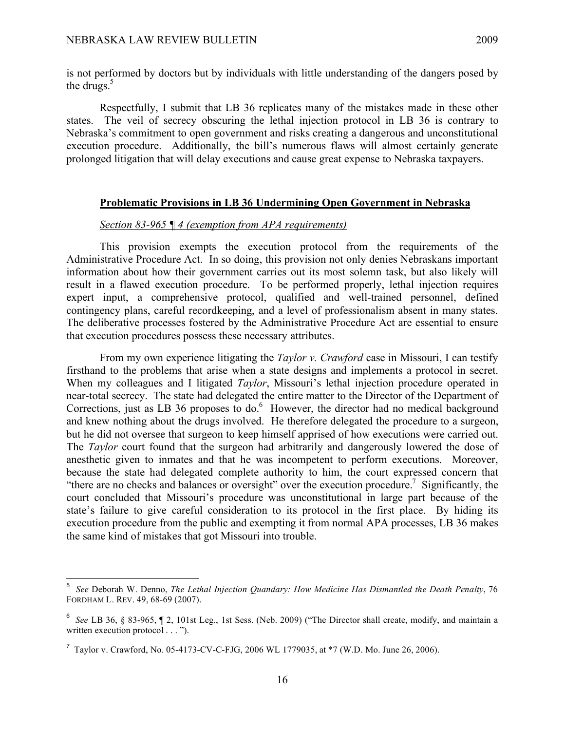is not performed by doctors but by individuals with little understanding of the dangers posed by the drugs. $5$ 

Respectfully, I submit that LB 36 replicates many of the mistakes made in these other states. The veil of secrecy obscuring the lethal injection protocol in LB 36 is contrary to Nebraska's commitment to open government and risks creating a dangerous and unconstitutional execution procedure. Additionally, the bill's numerous flaws will almost certainly generate prolonged litigation that will delay executions and cause great expense to Nebraska taxpayers.

#### **Problematic Provisions in LB 36 Undermining Open Government in Nebraska**

#### *Section 83-965 ¶ 4 (exemption from APA requirements)*

This provision exempts the execution protocol from the requirements of the Administrative Procedure Act. In so doing, this provision not only denies Nebraskans important information about how their government carries out its most solemn task, but also likely will result in a flawed execution procedure. To be performed properly, lethal injection requires expert input, a comprehensive protocol, qualified and well-trained personnel, defined contingency plans, careful recordkeeping, and a level of professionalism absent in many states. The deliberative processes fostered by the Administrative Procedure Act are essential to ensure that execution procedures possess these necessary attributes.

From my own experience litigating the *Taylor v. Crawford* case in Missouri, I can testify firsthand to the problems that arise when a state designs and implements a protocol in secret. When my colleagues and I litigated *Taylor*, Missouri's lethal injection procedure operated in near-total secrecy. The state had delegated the entire matter to the Director of the Department of Corrections, just as LB 36 proposes to do.<sup>6</sup> However, the director had no medical background and knew nothing about the drugs involved. He therefore delegated the procedure to a surgeon, but he did not oversee that surgeon to keep himself apprised of how executions were carried out. The *Taylor* court found that the surgeon had arbitrarily and dangerously lowered the dose of anesthetic given to inmates and that he was incompetent to perform executions. Moreover, because the state had delegated complete authority to him, the court expressed concern that "there are no checks and balances or oversight" over the execution procedure.<sup>7</sup> Significantly, the court concluded that Missouri's procedure was unconstitutional in large part because of the state's failure to give careful consideration to its protocol in the first place. By hiding its execution procedure from the public and exempting it from normal APA processes, LB 36 makes the same kind of mistakes that got Missouri into trouble.

<sup>—&</sup>lt;br>5 *See* Deborah W. Denno, *The Lethal Injection Quandary: How Medicine Has Dismantled the Death Penalty*, 76 FORDHAM L. REV. 49, 68-69 (2007).

<sup>6</sup> *See* LB 36, § 83-965, ¶ 2, 101st Leg., 1st Sess. (Neb. 2009) ("The Director shall create, modify, and maintain a written execution protocol . . . ").

<sup>&</sup>lt;sup>7</sup> Taylor v. Crawford, No. 05-4173-CV-C-FJG, 2006 WL 1779035, at  $*7$  (W.D. Mo. June 26, 2006).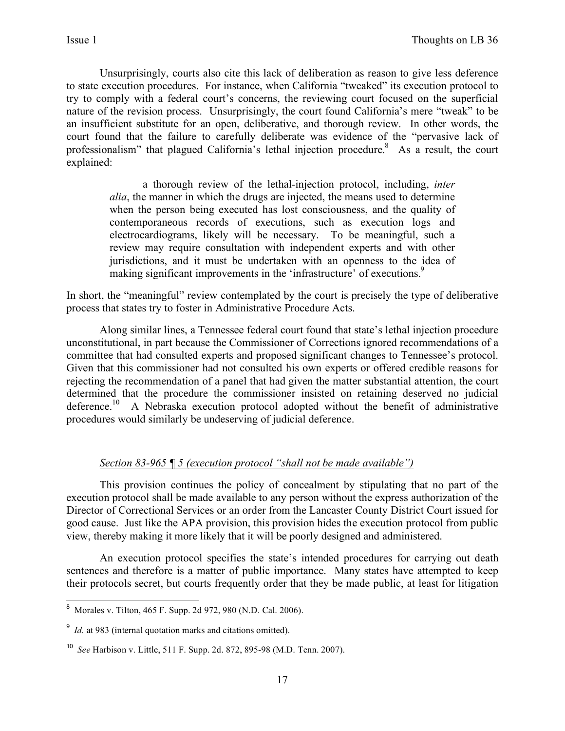Unsurprisingly, courts also cite this lack of deliberation as reason to give less deference to state execution procedures. For instance, when California "tweaked" its execution protocol to try to comply with a federal court's concerns, the reviewing court focused on the superficial nature of the revision process. Unsurprisingly, the court found California's mere "tweak" to be an insufficient substitute for an open, deliberative, and thorough review. In other words, the court found that the failure to carefully deliberate was evidence of the "pervasive lack of professionalism" that plagued California's lethal injection procedure.<sup>8</sup> As a result, the court explained:

> a thorough review of the lethal-injection protocol, including, *inter alia*, the manner in which the drugs are injected, the means used to determine when the person being executed has lost consciousness, and the quality of contemporaneous records of executions, such as execution logs and electrocardiograms, likely will be necessary. To be meaningful, such a review may require consultation with independent experts and with other jurisdictions, and it must be undertaken with an openness to the idea of making significant improvements in the 'infrastructure' of executions.<sup>9</sup>

In short, the "meaningful" review contemplated by the court is precisely the type of deliberative process that states try to foster in Administrative Procedure Acts.

Along similar lines, a Tennessee federal court found that state's lethal injection procedure unconstitutional, in part because the Commissioner of Corrections ignored recommendations of a committee that had consulted experts and proposed significant changes to Tennessee's protocol. Given that this commissioner had not consulted his own experts or offered credible reasons for rejecting the recommendation of a panel that had given the matter substantial attention, the court determined that the procedure the commissioner insisted on retaining deserved no judicial deference.<sup>10</sup> A Nebraska execution protocol adopted without the benefit of administrative procedures would similarly be undeserving of judicial deference.

#### *Section 83-965 ¶ 5 (execution protocol "shall not be made available")*

This provision continues the policy of concealment by stipulating that no part of the execution protocol shall be made available to any person without the express authorization of the Director of Correctional Services or an order from the Lancaster County District Court issued for good cause. Just like the APA provision, this provision hides the execution protocol from public view, thereby making it more likely that it will be poorly designed and administered.

An execution protocol specifies the state's intended procedures for carrying out death sentences and therefore is a matter of public importance. Many states have attempted to keep their protocols secret, but courts frequently order that they be made public, at least for litigation

 <sup>8</sup> Morales v. Tilton, 465 F. Supp. 2d 972, 980 (N.D. Cal. 2006).

<sup>&</sup>lt;sup>9</sup> *Id.* at 983 (internal quotation marks and citations omitted).

<sup>10</sup> *See* Harbison v. Little, 511 F. Supp. 2d. 872, 895-98 (M.D. Tenn. 2007).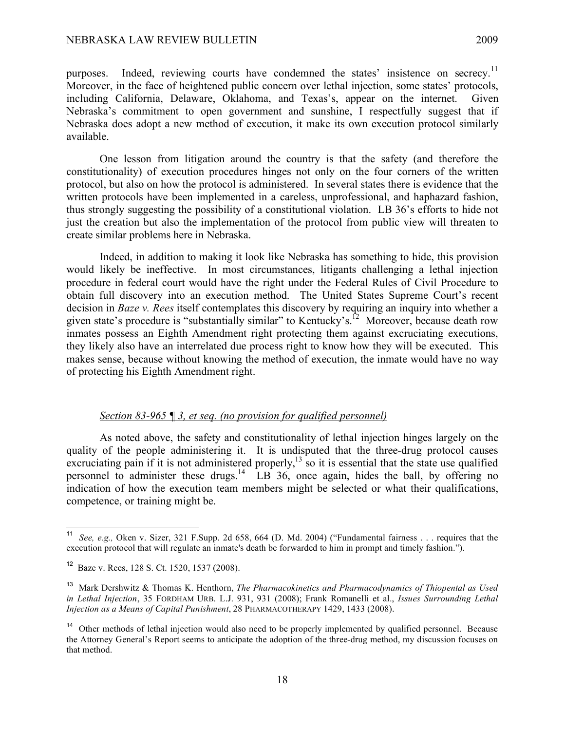purposes. Indeed, reviewing courts have condemned the states' insistence on secrecy.<sup>11</sup> Moreover, in the face of heightened public concern over lethal injection, some states' protocols, including California, Delaware, Oklahoma, and Texas's, appear on the internet. Given Nebraska's commitment to open government and sunshine, I respectfully suggest that if Nebraska does adopt a new method of execution, it make its own execution protocol similarly available.

One lesson from litigation around the country is that the safety (and therefore the constitutionality) of execution procedures hinges not only on the four corners of the written protocol, but also on how the protocol is administered. In several states there is evidence that the written protocols have been implemented in a careless, unprofessional, and haphazard fashion, thus strongly suggesting the possibility of a constitutional violation. LB 36's efforts to hide not just the creation but also the implementation of the protocol from public view will threaten to create similar problems here in Nebraska.

Indeed, in addition to making it look like Nebraska has something to hide, this provision would likely be ineffective. In most circumstances, litigants challenging a lethal injection procedure in federal court would have the right under the Federal Rules of Civil Procedure to obtain full discovery into an execution method. The United States Supreme Court's recent decision in *Baze v. Rees* itself contemplates this discovery by requiring an inquiry into whether a given state's procedure is "substantially similar" to Kentucky's.<sup>12</sup> Moreover, because death row inmates possess an Eighth Amendment right protecting them against excruciating executions, they likely also have an interrelated due process right to know how they will be executed. This makes sense, because without knowing the method of execution, the inmate would have no way of protecting his Eighth Amendment right.

#### *Section 83-965 ¶ 3, et seq. (no provision for qualified personnel)*

As noted above, the safety and constitutionality of lethal injection hinges largely on the quality of the people administering it. It is undisputed that the three-drug protocol causes excruciating pain if it is not administered properly,<sup>13</sup> so it is essential that the state use qualified personnel to administer these drugs.<sup>14</sup> LB 36, once again, hides the ball, by offering no indication of how the execution team members might be selected or what their qualifications, competence, or training might be.

 <sup>11</sup> *See, e.g.,* Oken v. Sizer, 321 F.Supp. 2d 658, 664 (D. Md. 2004) ("Fundamental fairness . . . requires that the execution protocol that will regulate an inmate's death be forwarded to him in prompt and timely fashion.").

<sup>12</sup> Baze v. Rees, 128 S. Ct. 1520, 1537 (2008).

<sup>13</sup> Mark Dershwitz & Thomas K. Henthorn, *The Pharmacokinetics and Pharmacodynamics of Thiopental as Used in Lethal Injection*, 35 FORDHAM URB. L.J. 931, 931 (2008); Frank Romanelli et al., *Issues Surrounding Lethal Injection as a Means of Capital Punishment*, 28 PHARMACOTHERAPY 1429, 1433 (2008).

<sup>&</sup>lt;sup>14</sup> Other methods of lethal injection would also need to be properly implemented by qualified personnel. Because the Attorney General's Report seems to anticipate the adoption of the three-drug method, my discussion focuses on that method.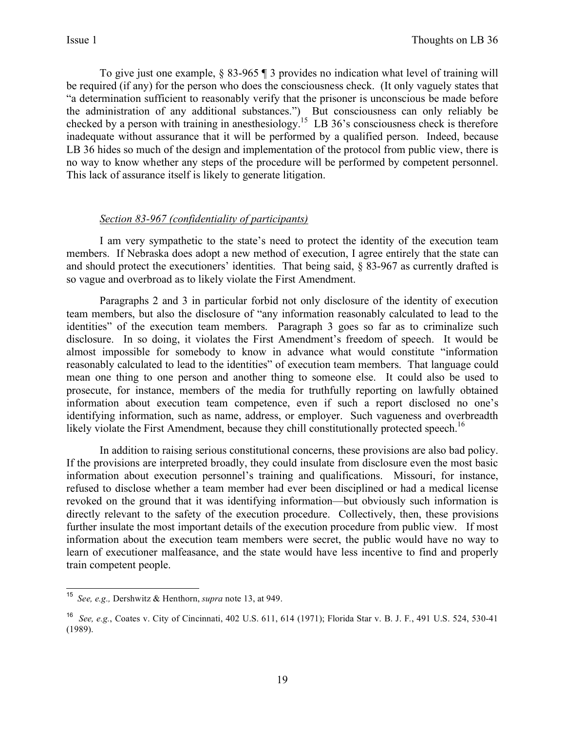To give just one example, § 83-965 ¶ 3 provides no indication what level of training will be required (if any) for the person who does the consciousness check. (It only vaguely states that "a determination sufficient to reasonably verify that the prisoner is unconscious be made before the administration of any additional substances.") But consciousness can only reliably be checked by a person with training in anesthesiology.<sup>15</sup> LB 36's consciousness check is therefore inadequate without assurance that it will be performed by a qualified person. Indeed, because LB 36 hides so much of the design and implementation of the protocol from public view, there is no way to know whether any steps of the procedure will be performed by competent personnel. This lack of assurance itself is likely to generate litigation.

#### *Section 83-967 (confidentiality of participants)*

I am very sympathetic to the state's need to protect the identity of the execution team members. If Nebraska does adopt a new method of execution, I agree entirely that the state can and should protect the executioners' identities. That being said, § 83-967 as currently drafted is so vague and overbroad as to likely violate the First Amendment.

Paragraphs 2 and 3 in particular forbid not only disclosure of the identity of execution team members, but also the disclosure of "any information reasonably calculated to lead to the identities" of the execution team members. Paragraph 3 goes so far as to criminalize such disclosure. In so doing, it violates the First Amendment's freedom of speech. It would be almost impossible for somebody to know in advance what would constitute "information reasonably calculated to lead to the identities" of execution team members. That language could mean one thing to one person and another thing to someone else. It could also be used to prosecute, for instance, members of the media for truthfully reporting on lawfully obtained information about execution team competence, even if such a report disclosed no one's identifying information, such as name, address, or employer. Such vagueness and overbreadth likely violate the First Amendment, because they chill constitutionally protected speech.<sup>16</sup>

In addition to raising serious constitutional concerns, these provisions are also bad policy. If the provisions are interpreted broadly, they could insulate from disclosure even the most basic information about execution personnel's training and qualifications. Missouri, for instance, refused to disclose whether a team member had ever been disciplined or had a medical license revoked on the ground that it was identifying information—but obviously such information is directly relevant to the safety of the execution procedure. Collectively, then, these provisions further insulate the most important details of the execution procedure from public view. If most information about the execution team members were secret, the public would have no way to learn of executioner malfeasance, and the state would have less incentive to find and properly train competent people.

 <sup>15</sup> *See, e.g.,* Dershwitz & Henthorn, *supra* note 13, at 949.

<sup>16</sup> *See, e.g.*, Coates v. City of Cincinnati, 402 U.S. 611, 614 (1971); Florida Star v. B. J. F*.*, 491 U.S. 524, 530-41 (1989).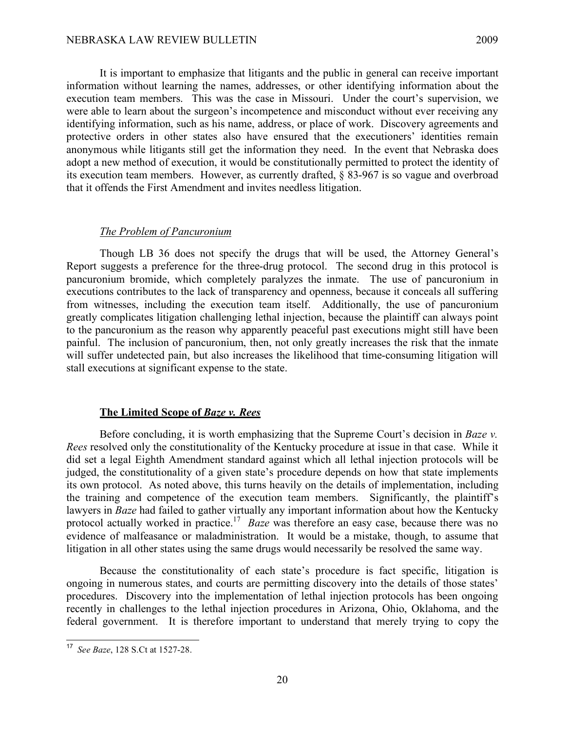It is important to emphasize that litigants and the public in general can receive important information without learning the names, addresses, or other identifying information about the execution team members. This was the case in Missouri. Under the court's supervision, we were able to learn about the surgeon's incompetence and misconduct without ever receiving any identifying information, such as his name, address, or place of work. Discovery agreements and protective orders in other states also have ensured that the executioners' identities remain anonymous while litigants still get the information they need. In the event that Nebraska does adopt a new method of execution, it would be constitutionally permitted to protect the identity of its execution team members. However, as currently drafted, § 83-967 is so vague and overbroad that it offends the First Amendment and invites needless litigation.

#### *The Problem of Pancuronium*

Though LB 36 does not specify the drugs that will be used, the Attorney General's Report suggests a preference for the three-drug protocol. The second drug in this protocol is pancuronium bromide, which completely paralyzes the inmate. The use of pancuronium in executions contributes to the lack of transparency and openness, because it conceals all suffering from witnesses, including the execution team itself. Additionally, the use of pancuronium greatly complicates litigation challenging lethal injection, because the plaintiff can always point to the pancuronium as the reason why apparently peaceful past executions might still have been painful. The inclusion of pancuronium, then, not only greatly increases the risk that the inmate will suffer undetected pain, but also increases the likelihood that time-consuming litigation will stall executions at significant expense to the state.

#### **The Limited Scope of** *Baze v. Rees*

Before concluding, it is worth emphasizing that the Supreme Court's decision in *Baze v. Rees* resolved only the constitutionality of the Kentucky procedure at issue in that case. While it did set a legal Eighth Amendment standard against which all lethal injection protocols will be judged, the constitutionality of a given state's procedure depends on how that state implements its own protocol. As noted above, this turns heavily on the details of implementation, including the training and competence of the execution team members. Significantly, the plaintiff's lawyers in *Baze* had failed to gather virtually any important information about how the Kentucky protocol actually worked in practice.<sup>17</sup> *Baze* was therefore an easy case, because there was no evidence of malfeasance or maladministration. It would be a mistake, though, to assume that litigation in all other states using the same drugs would necessarily be resolved the same way.

Because the constitutionality of each state's procedure is fact specific, litigation is ongoing in numerous states, and courts are permitting discovery into the details of those states' procedures. Discovery into the implementation of lethal injection protocols has been ongoing recently in challenges to the lethal injection procedures in Arizona, Ohio, Oklahoma, and the federal government. It is therefore important to understand that merely trying to copy the

 <sup>17</sup> *See Baze*, 128 S.Ct at 1527-28.